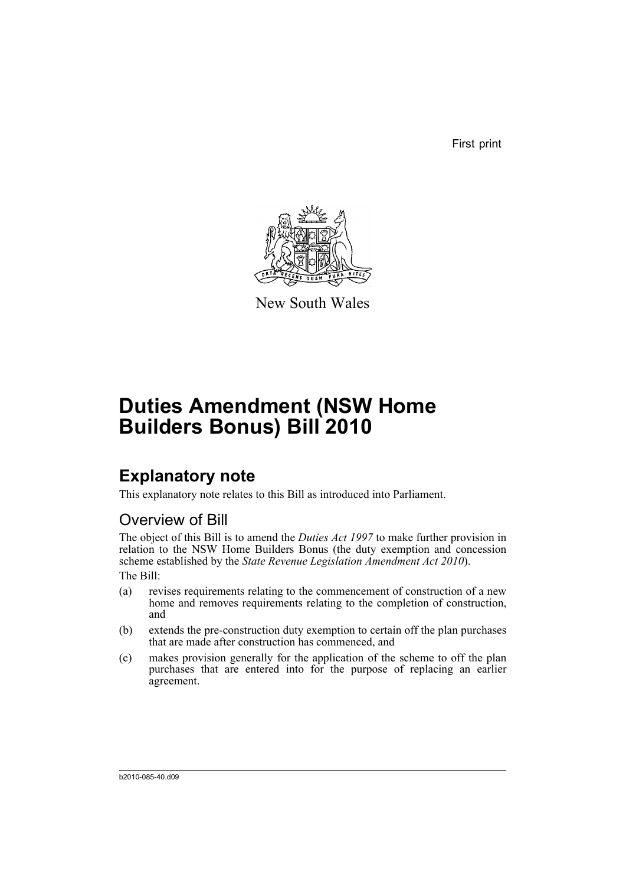First print



New South Wales

# **Duties Amendment (NSW Home Builders Bonus) Bill 2010**

## **Explanatory note**

This explanatory note relates to this Bill as introduced into Parliament.

## Overview of Bill

The object of this Bill is to amend the *Duties Act 1997* to make further provision in relation to the NSW Home Builders Bonus (the duty exemption and concession scheme established by the *State Revenue Legislation Amendment Act 2010*). The Bill:

- (a) revises requirements relating to the commencement of construction of a new home and removes requirements relating to the completion of construction, and
- (b) extends the pre-construction duty exemption to certain off the plan purchases that are made after construction has commenced, and
- (c) makes provision generally for the application of the scheme to off the plan purchases that are entered into for the purpose of replacing an earlier agreement.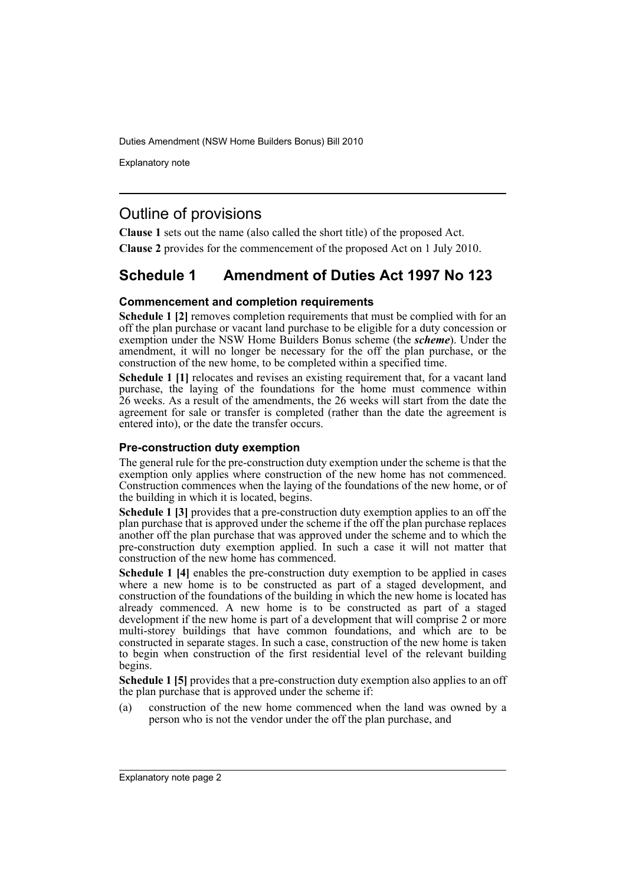Explanatory note

### Outline of provisions

**Clause 1** sets out the name (also called the short title) of the proposed Act.

**Clause 2** provides for the commencement of the proposed Act on 1 July 2010.

## **Schedule 1 Amendment of Duties Act 1997 No 123**

### **Commencement and completion requirements**

**Schedule 1 [2]** removes completion requirements that must be complied with for an off the plan purchase or vacant land purchase to be eligible for a duty concession or exemption under the NSW Home Builders Bonus scheme (the *scheme*). Under the amendment, it will no longer be necessary for the off the plan purchase, or the construction of the new home, to be completed within a specified time.

**Schedule 1 [1]** relocates and revises an existing requirement that, for a vacant land purchase, the laying of the foundations for the home must commence within 26 weeks. As a result of the amendments, the 26 weeks will start from the date the agreement for sale or transfer is completed (rather than the date the agreement is entered into), or the date the transfer occurs.

### **Pre-construction duty exemption**

The general rule for the pre-construction duty exemption under the scheme is that the exemption only applies where construction of the new home has not commenced. Construction commences when the laying of the foundations of the new home, or of the building in which it is located, begins.

**Schedule 1 [3]** provides that a pre-construction duty exemption applies to an off the plan purchase that is approved under the scheme if the off the plan purchase replaces another off the plan purchase that was approved under the scheme and to which the pre-construction duty exemption applied. In such a case it will not matter that construction of the new home has commenced.

**Schedule 1 [4]** enables the pre-construction duty exemption to be applied in cases where a new home is to be constructed as part of a staged development, and construction of the foundations of the building in which the new home is located has already commenced. A new home is to be constructed as part of a staged development if the new home is part of a development that will comprise 2 or more multi-storey buildings that have common foundations, and which are to be constructed in separate stages. In such a case, construction of the new home is taken to begin when construction of the first residential level of the relevant building begins.

**Schedule 1 [5]** provides that a pre-construction duty exemption also applies to an off the plan purchase that is approved under the scheme if:

(a) construction of the new home commenced when the land was owned by a person who is not the vendor under the off the plan purchase, and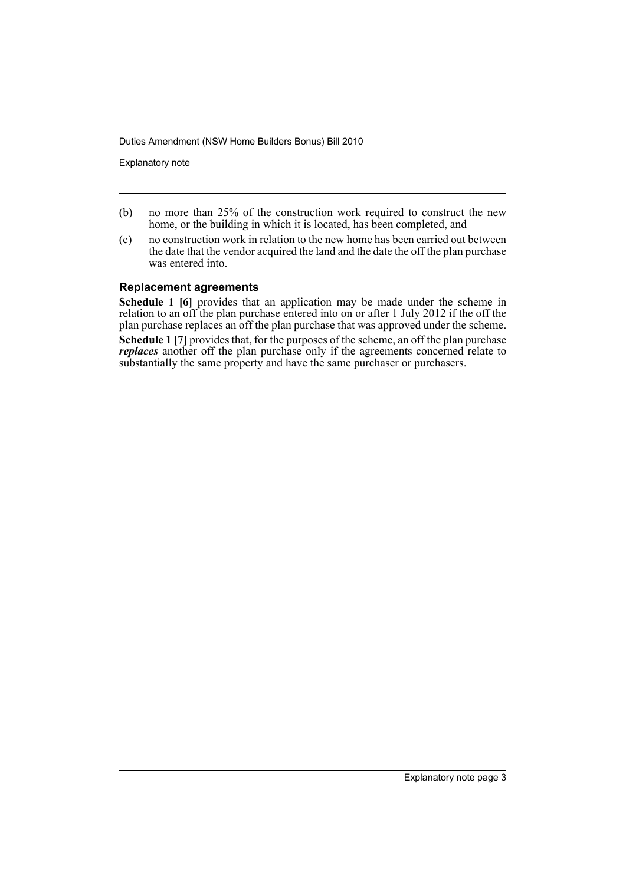Explanatory note

- (b) no more than 25% of the construction work required to construct the new home, or the building in which it is located, has been completed, and
- (c) no construction work in relation to the new home has been carried out between the date that the vendor acquired the land and the date the off the plan purchase was entered into.

### **Replacement agreements**

**Schedule 1 [6]** provides that an application may be made under the scheme in relation to an off the plan purchase entered into on or after 1 July 2012 if the off the plan purchase replaces an off the plan purchase that was approved under the scheme.

**Schedule 1 [7]** provides that, for the purposes of the scheme, an off the plan purchase *replaces* another off the plan purchase only if the agreements concerned relate to substantially the same property and have the same purchaser or purchasers.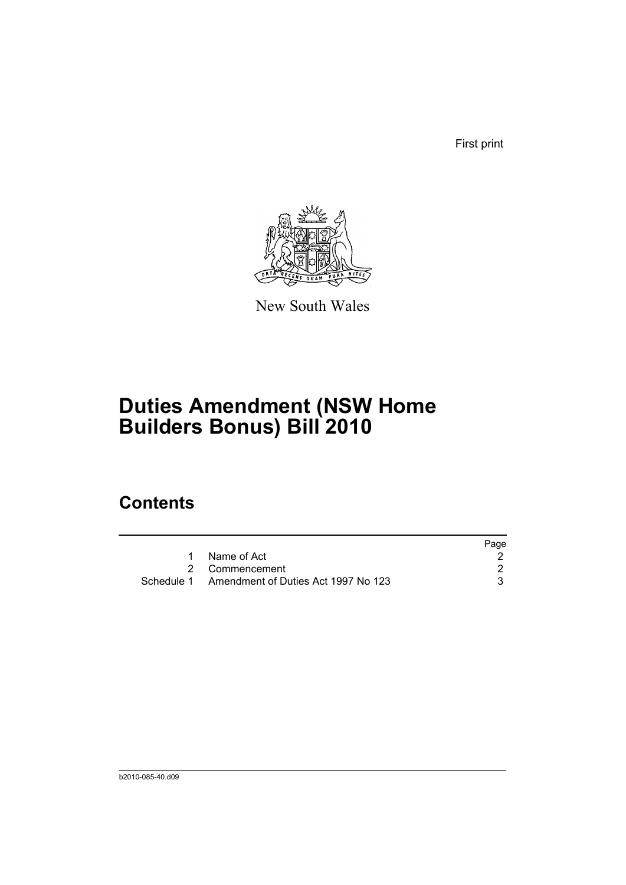First print



New South Wales

# **Duties Amendment (NSW Home Builders Bonus) Bill 2010**

## **Contents**

|                                                | Page |
|------------------------------------------------|------|
| 1 Name of Act                                  |      |
| 2 Commencement                                 |      |
| Schedule 1 Amendment of Duties Act 1997 No 123 |      |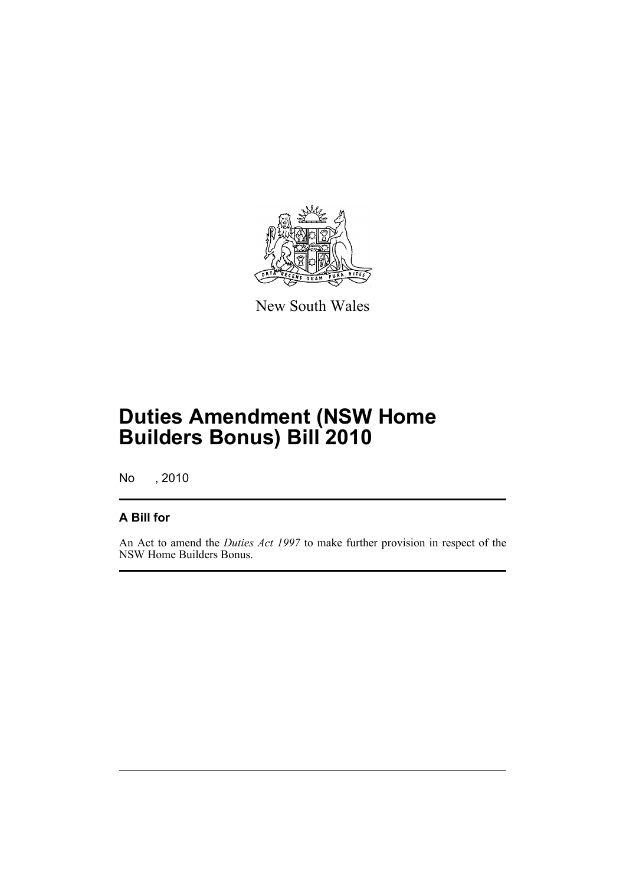

New South Wales

# **Duties Amendment (NSW Home Builders Bonus) Bill 2010**

No , 2010

### **A Bill for**

An Act to amend the *Duties Act 1997* to make further provision in respect of the NSW Home Builders Bonus.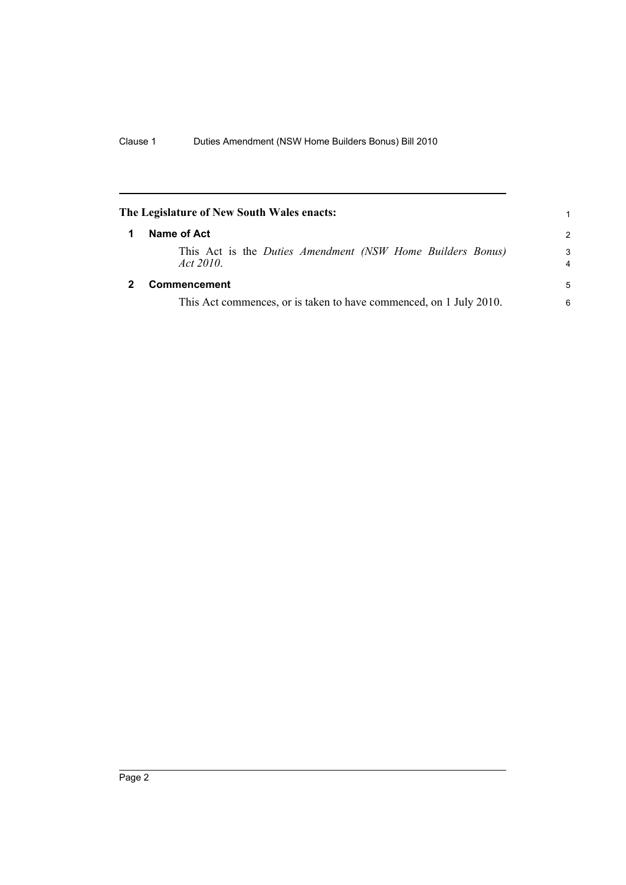<span id="page-7-1"></span><span id="page-7-0"></span>

| The Legislature of New South Wales enacts: |                                                                            | 1             |
|--------------------------------------------|----------------------------------------------------------------------------|---------------|
| 1                                          | Name of Act                                                                | $\mathcal{P}$ |
|                                            | This Act is the Duties Amendment (NSW Home Builders Bonus)<br>Act $2010$ . | 3<br>4        |
|                                            | Commencement                                                               | 5             |
|                                            | This Act commences, or is taken to have commenced, on 1 July 2010.         | 6             |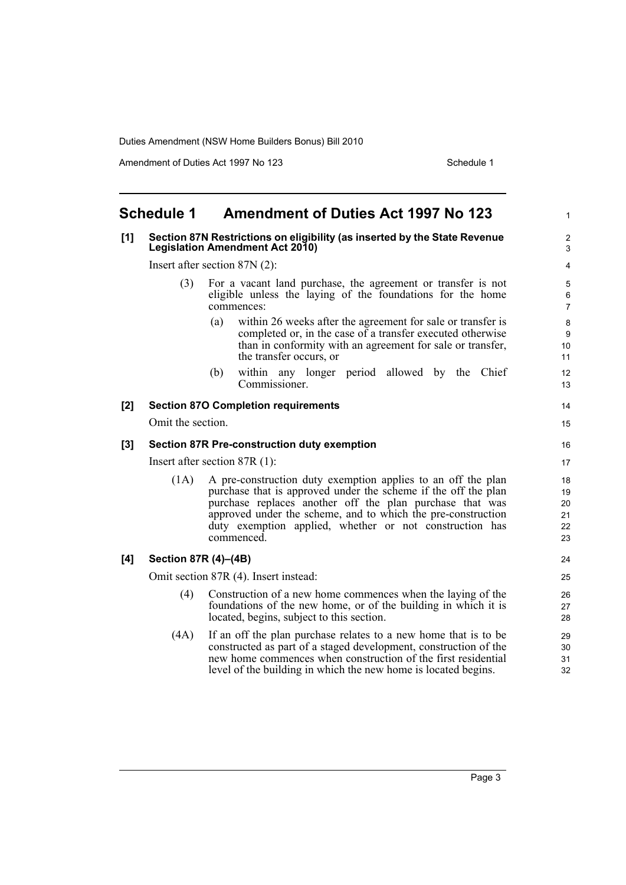Amendment of Duties Act 1997 No 123 Schedule 1

#### <span id="page-8-0"></span>**Schedule 1 Amendment of Duties Act 1997 No 123 [1] Section 87N Restrictions on eligibility (as inserted by the State Revenue Legislation Amendment Act 2010)** Insert after section 87N (2): (3) For a vacant land purchase, the agreement or transfer is not eligible unless the laying of the foundations for the home commences: (a) within 26 weeks after the agreement for sale or transfer is completed or, in the case of a transfer executed otherwise than in conformity with an agreement for sale or transfer, the transfer occurs, or (b) within any longer period allowed by the Chief Commissioner. **[2] Section 87O Completion requirements** Omit the section. **[3] Section 87R Pre-construction duty exemption** Insert after section 87R (1): (1A) A pre-construction duty exemption applies to an off the plan purchase that is approved under the scheme if the off the plan purchase replaces another off the plan purchase that was approved under the scheme, and to which the pre-construction duty exemption applied, whether or not construction has commenced. **[4] Section 87R (4)–(4B)** Omit section 87R (4). Insert instead: (4) Construction of a new home commences when the laying of the foundations of the new home, or of the building in which it is located, begins, subject to this section. (4A) If an off the plan purchase relates to a new home that is to be constructed as part of a staged development, construction of the new home commences when construction of the first residential level of the building in which the new home is located begins. 1  $\overline{2}$ 3 4 5 6 7 8 9 10 11 12 13 14 15 16 17 18 19  $20$ 21  $22$  $23$ 24 25 26 27 28 29 30 31 32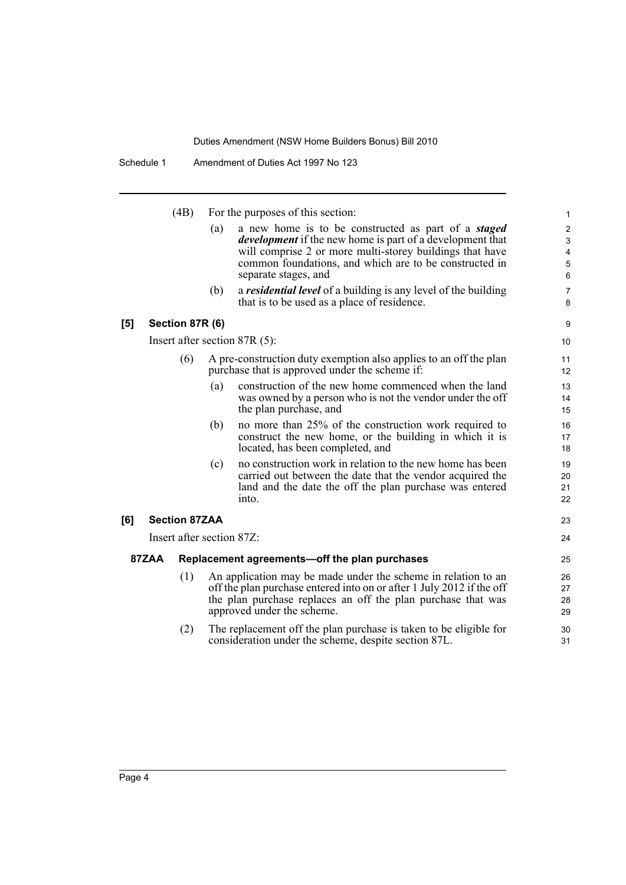Schedule 1 Amendment of Duties Act 1997 No 123

(4B) For the purposes of this section:

(a) a new home is to be constructed as part of a *staged development* if the new home is part of a development that will comprise 2 or more multi-storey buildings that have common foundations, and which are to be constructed in separate stages, and

23  $24$ 

(b) a *residential level* of a building is any level of the building that is to be used as a place of residence.

#### **[5] Section 87R (6)**

Insert after section 87R (5):

- (6) A pre-construction duty exemption also applies to an off the plan purchase that is approved under the scheme if:
	- (a) construction of the new home commenced when the land was owned by a person who is not the vendor under the off the plan purchase, and
	- (b) no more than 25% of the construction work required to construct the new home, or the building in which it is located, has been completed, and
	- (c) no construction work in relation to the new home has been carried out between the date that the vendor acquired the land and the date the off the plan purchase was entered into.

### **[6] Section 87ZAA**

Insert after section 87Z:

#### **87ZAA Replacement agreements—off the plan purchases**

- (1) An application may be made under the scheme in relation to an off the plan purchase entered into on or after 1 July 2012 if the off the plan purchase replaces an off the plan purchase that was approved under the scheme.
- (2) The replacement off the plan purchase is taken to be eligible for consideration under the scheme, despite section 87L.